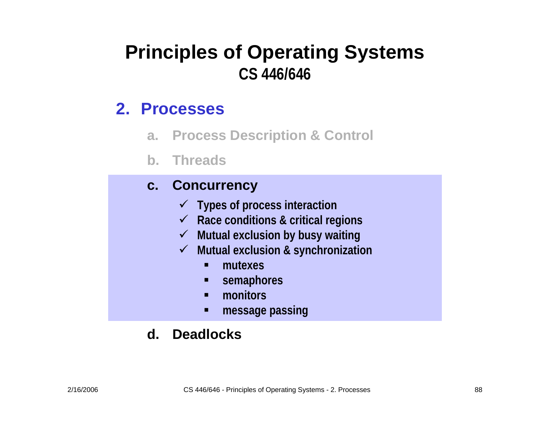#### **Principles of Operating Systems CS 446/646**

#### **2. Processes**

- **a. Process Description & Control**
- **b. Threads**

#### **c. Concurrency**

- 9 **Types of process interaction**
- 9 **Race conditions & critical regions**
- 9 **Mutual exclusion by busy waiting**
- $\checkmark$  **Mutual exclusion & synchronization**
	- n **mutexes**
	- **semaphores**
	- $\blacksquare$ **monitors**
	- n **message passing**

#### **d. Deadlocks**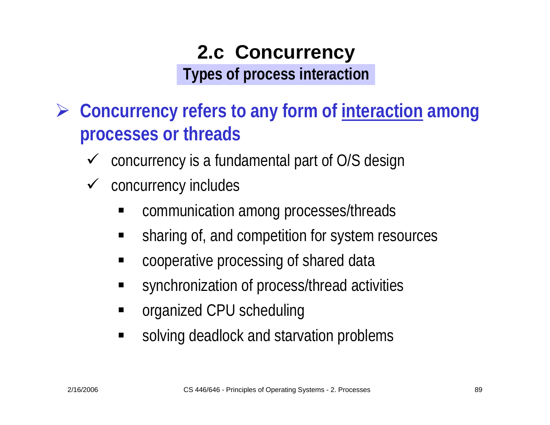#### **2.c Concurrency Types of process interaction**

- ¾ **Concurrency refers to any form of interaction among processes or threads**
	- $\checkmark$ concurrency is a fundamental part of O/S design
	- $\checkmark$  concurrency includes
		- communication among processes/threads
		- ٠ sharing of, and competition for system resources
		- ٠ cooperative processing of shared data
		- ٠ synchronization of process/thread activities
		- ٠ organized CPU scheduling
		- $\blacksquare$ solving deadlock and starvation problems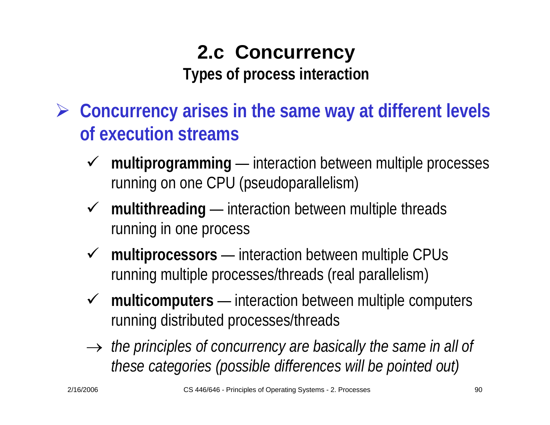## **2.c Concurrency Types of process interaction**

- ¾ **Concurrency arises in the same way at different levels of execution streams**
	- $\sqrt{ }$  **multiprogramming** —— interaction between multiple processes running on one CPU (pseudoparallelism)
	- 9 **multithreading** —— interaction between multiple threads running in one process
	- 9 **multiprocessors** —— interaction between multiple CPUs running multiple processes/threads (real parallelism)
	- 9 **multicomputers** —— interaction between multiple computers running distributed processes/threads
	- $\rightarrow$  the principles of concurrency are basically the same in all of *these categories (possible differences will be pointed out)*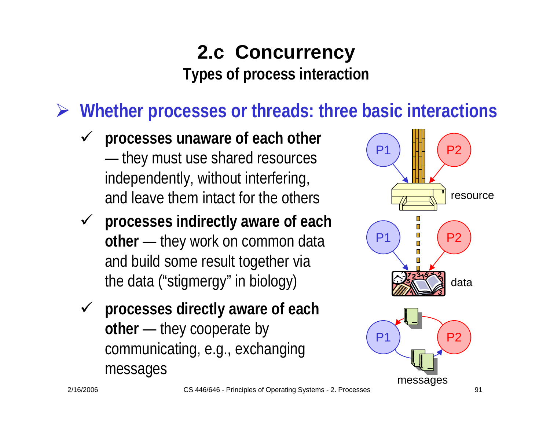#### **2.c Concurrency Types of process interaction**

¾ **Whether processes or threads: three basic interactions**

- $\checkmark$  **processes unaware of each other** —— they must use shared resources independently, without interfering, and leave them intact for the others
- 9 **processes indirectly aware of each other** —— they work on common data and build some result together via the data ("stigmergy" in biology)
- 9 **processes directly aware of each other** —— they cooperate by communicating, e.g., exchanging messages

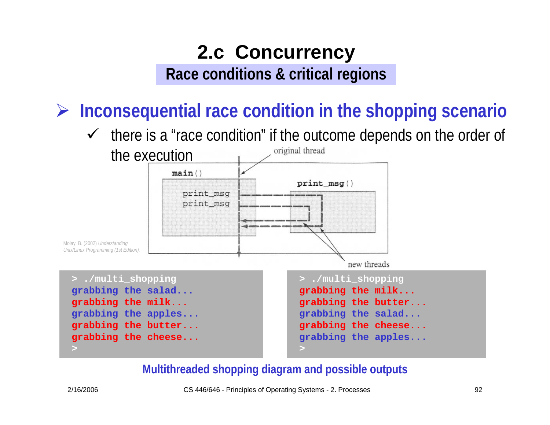#### **2.c Concurrency Race conditions & critical regions**

¾ **Inconsequential race condition in the shopping scenario**

 $\checkmark$  there is a "race condition" if the outcome depends on the order of original thread



#### **Multithreaded shopping diagram and possible outputs**

2/16/2006 CS 446/646 - Principles of Operating Systems - 2. Processes 92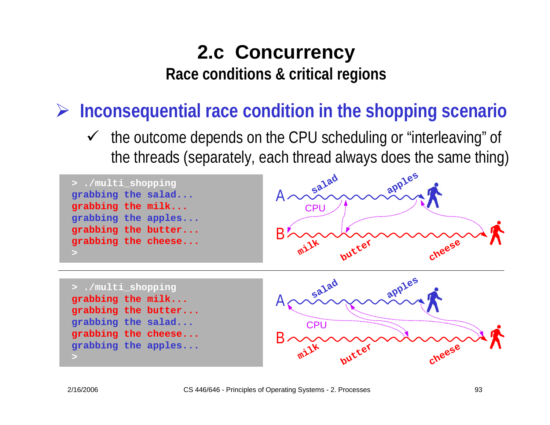**Race conditions & critical regions**

¾ **Inconsequential race condition in the shopping scenario**

 $\checkmark$  the outcome depends on the CPU scheduling or "interleaving" of the threads (separately, each thread always does the same thing)



**milk**

**butter**

**cheese**

**>**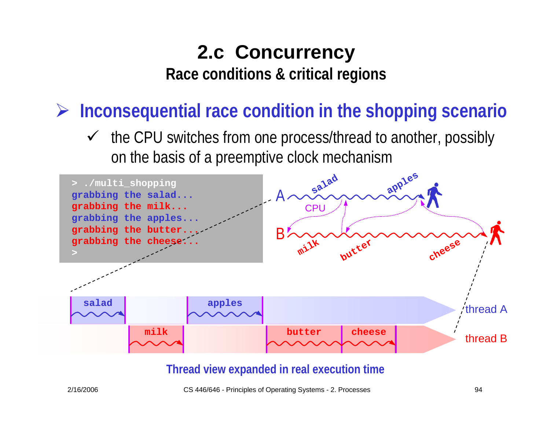**Race conditions & critical regions**

¾ **Inconsequential race condition in the shopping scenario**

 $\checkmark$  the CPU switches from one process/thread to another, possibly on the basis of a preemptive clock mechanism



#### **Thread view expanded in real execution time**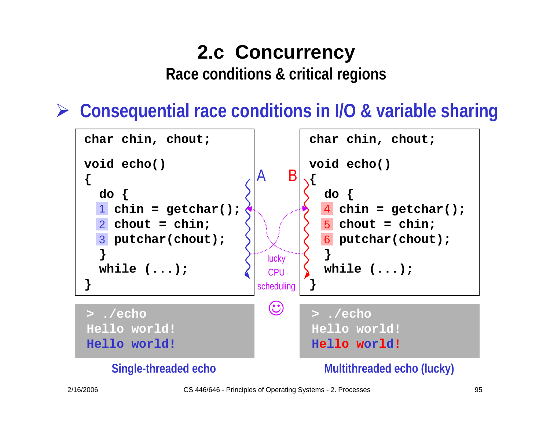**Race conditions & critical regions**

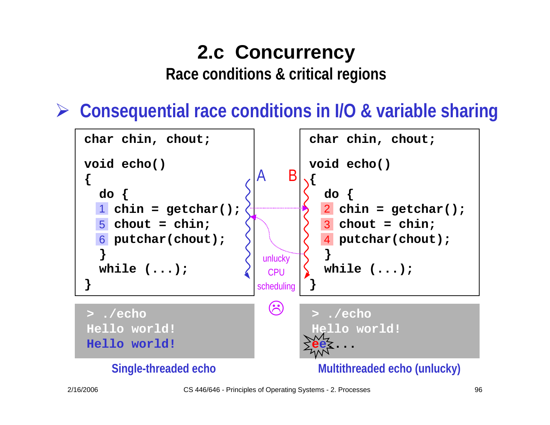**Race conditions & critical regions**

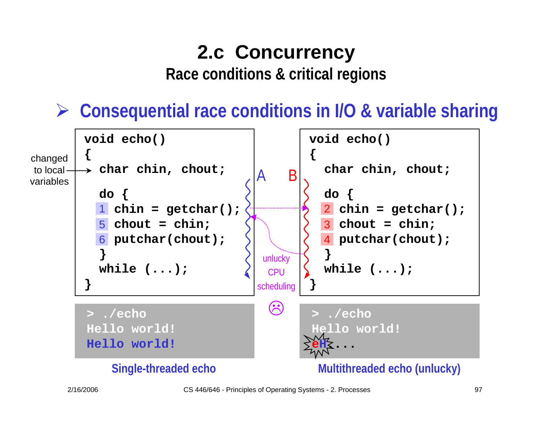**Race conditions & critical regions**

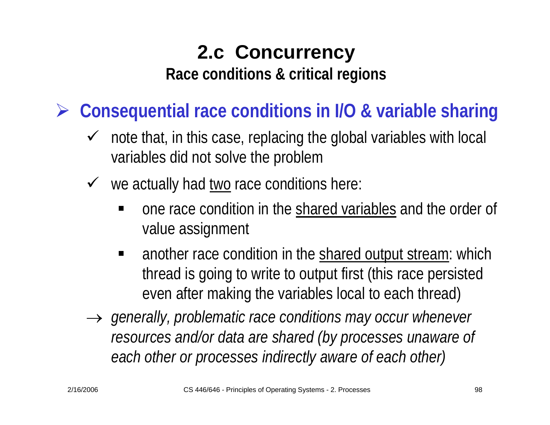**Race conditions & critical regions**

- $\sqrt{ }$  note that, in this case, replacing the global variables with local variables did not solve the problem
- $\checkmark$  we actually had two race conditions here:
	- one race condition in the shared variables and the order of value assignment
	- $\blacksquare$  another race condition in the shared output stream: which thread is going to write to output first (this race persisted even after making the variables local to each thread)
- → *generally, problematic race conditions may occur whenever resources and/or data are shared (by processes unaware of each other or processes indirectly aware of each other)*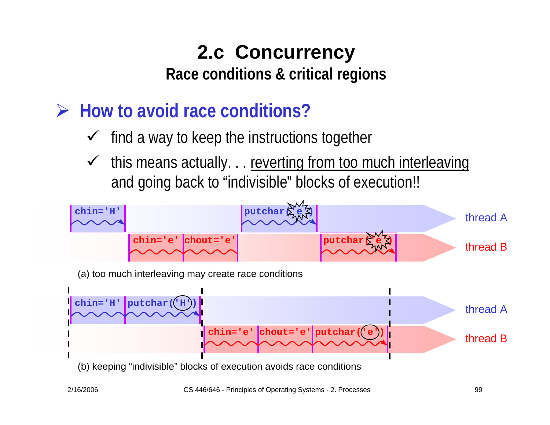**Race conditions & critical regions**

- ¾ **How to avoid race conditions?**
	- $\checkmark$ find a way to keep the instructions together
	- $\checkmark$ this means actually. . . reverting from too much interleaving and going back to "indivisible" blocks of execution!!

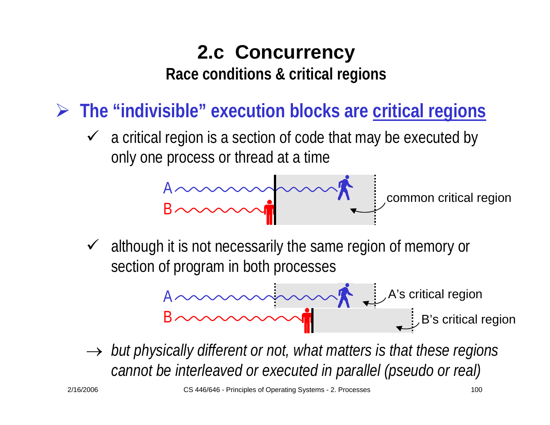**Race conditions & critical regions**

¾ **The "indivisible" execution blocks are critical regions**

 $\checkmark$  a critical region is a section of code that may be executed by only one process or thread at a time

$$
4 \sim m \sim m \sim \pi
$$

common critical region

 $\checkmark$  although it is not necessarily the same region of memory or section of program in both processes



 $\rightarrow$  *but physically different or not, what matters is that these regions cannot be interleaved or executed in parallel (pseudo or real)*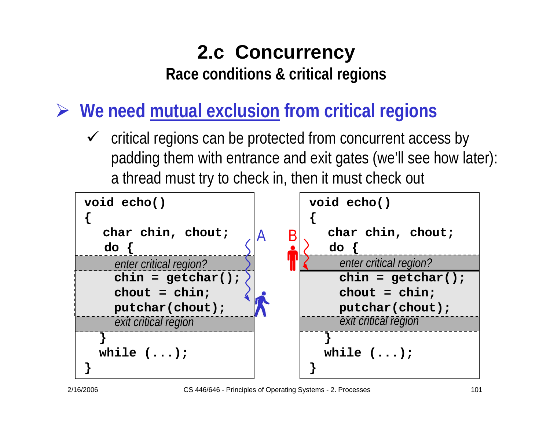**Race conditions & critical regions**

¾ **We need mutual exclusion from critical regions**

 $\checkmark$  critical regions can be protected from concurrent access by padding them with entrance and exit gates (we'll see how later): a thread must try to check in, then it must check out

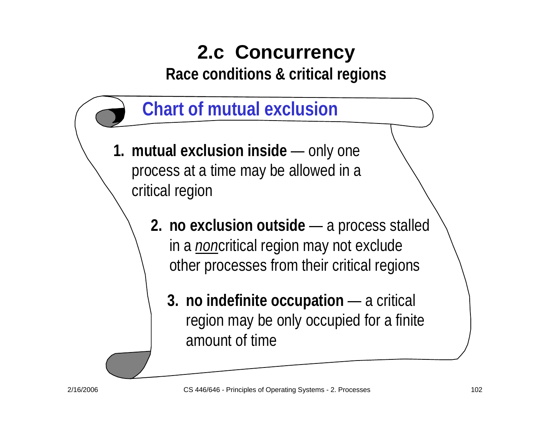**Race conditions & critical regions**

- **Chart of mutual exclusion 1. mutual exclusion inside** — $-$  only one  $\overline{\phantom{a}}$ process at a time may be allowed in a critical region
	- **2. no exclusion outside** —— a process stalled in a *non*critical region may not exclude other processes from their critical regions
		- **3. no indefinite occupation** — a critical region may be only occupied for a finite amount of time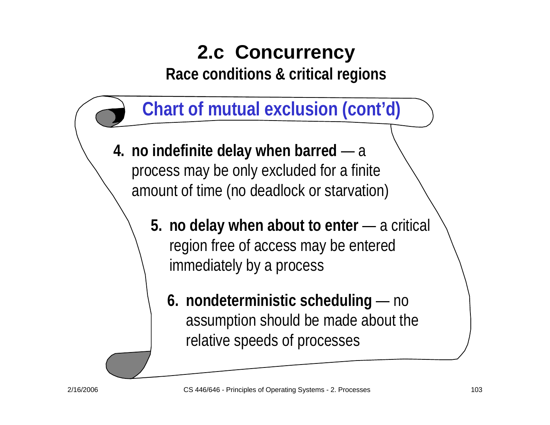**Race conditions & critical regions**



- **4. no indefinite delay when barred** <sup>a</sup> process may be only excluded for a finite amount of time (no deadlock or starvation)
	- **5. no delay when about to enter** — a critical region free of access may be entered immediately by a process
		- **6. nondeterministic scheduling** — no assumption should be made about the relative speeds of processes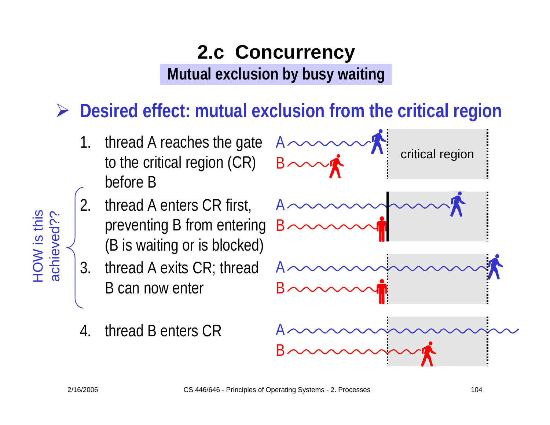¾ **Desired effect: mutual exclusion from the critical region**

- 1. thread A reaches the gate to the critical region (CR) before B
- 2. thread A enters CR first, preventing B from entering (B is waiting or is blocked)
- 3. thread A exits CR; thread B can now enter
- 4.thread B enters CR



HOW is this

HOW is this<br>achieved?? achieved??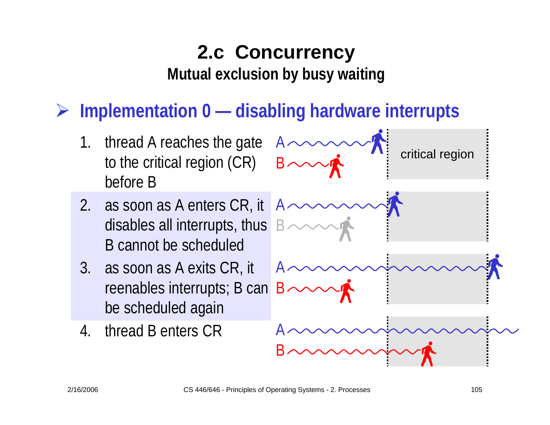## ¾ **Implementation 0 — disabling hardware interrupts**

- 1.. thread A reaches the gate  $A \cdot$ to the critical region (CR) before B
- 2. as soon as A enters CR, it disables all interrupts, thus B cannot be scheduled
- 3. as soon as A exits CR, it reenables interrupts; B can be scheduled again
- 4.thread B enters CR

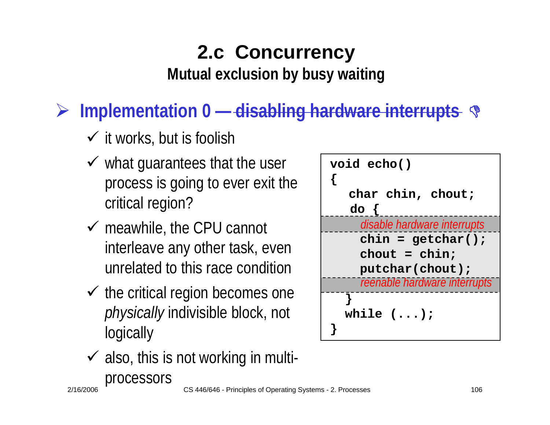**Mutual exclusion by busy waiting**

## ¾ **Implementation 0 — disabling hardware interrupts**  '

- $\checkmark$  it works, but is foolish
- $\checkmark$  what guarantees that the user process is going to ever exit the critical region?
- $\checkmark$  meawhile, the CPU cannot interleave any other task, even unrelated to this race condition
- $\checkmark$  the critical region becomes one *physically* indivisible block, not **logically**
- $\checkmark$  also, this is not working in multi-



processors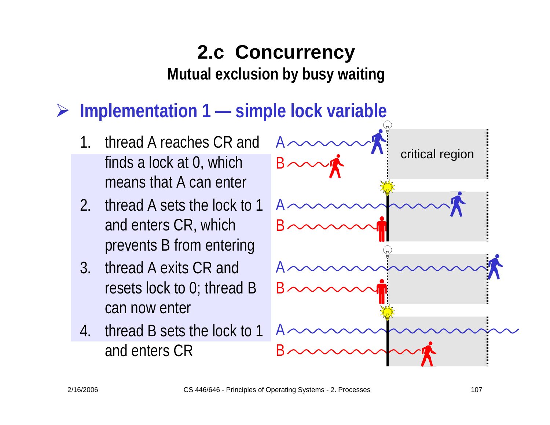#### ¾**Implementation 1 — simple lock variable**

- 1. thread A reaches CR and finds a lock at 0, which means that A can enter
- 2. thread A sets the lock to 1 and enters CR, which prevents B from entering
- 3. thread A exits CR and resets lock to 0; thread B can now enter
- 4. thread B sets the lock to 1 and enters CR

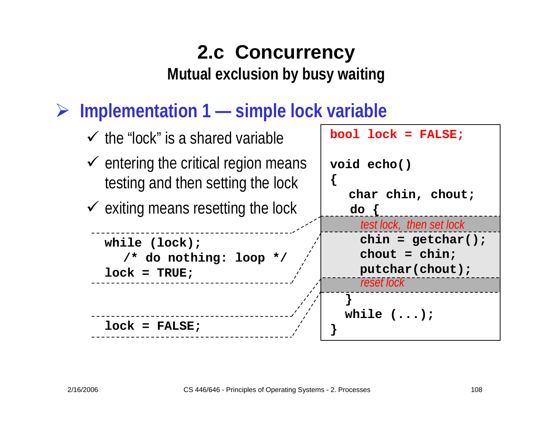¾ **Implementation 1 — simple lock variable**

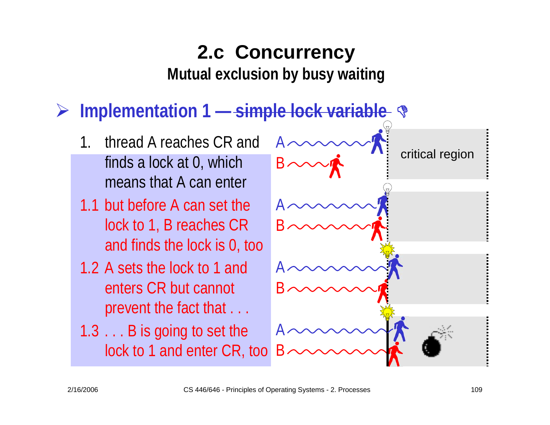#### ¾**Implementation 1 — simple lock variable**  '

- 1. thread A reaches CR and finds a lock at 0, which means that A can enter
- 1.1 but before A can set the lock to 1, B reaches CR and finds the lock is 0, too
- 1.2A sets the lock to 1 and enters CR but cannot prevent the fact that . . .
- 1.3 . . . B is going to set the lock to 1 and enter CR, too

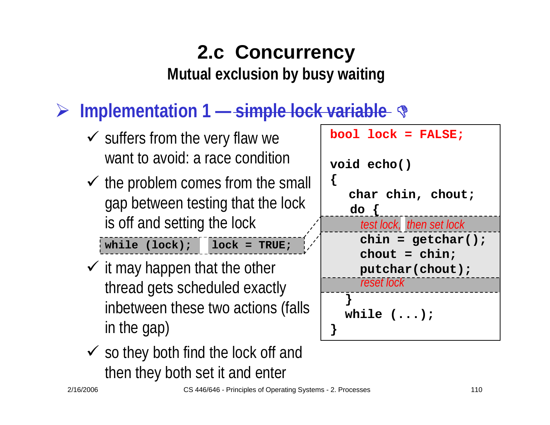#### ¾ **Implementation 1 — simple lock variable**  '

- $\checkmark$  suffers from the very flaw we want to avoid: a race condition
- $\checkmark$  the problem comes from the small gap between testing that the lock is off and setting the lock

**while (lock); lock = TRUE;**

- $\checkmark$  it may happen that the other thread gets scheduled exactly inbetween these two actions (falls in the gap)
- $\checkmark$  so they both find the lock off and then they both set it and enter

| $bool$ $lock$ = $FALSE;$     |
|------------------------------|
| void echo()                  |
| char chin, chout;<br>$do \{$ |
| test lock, then set lock     |
| $chin = getchar()$ ;         |
| $chout = chin;$              |
| putchar(chout);              |
| reset lock                   |
|                              |
| while $(\ldots)$ ;           |
|                              |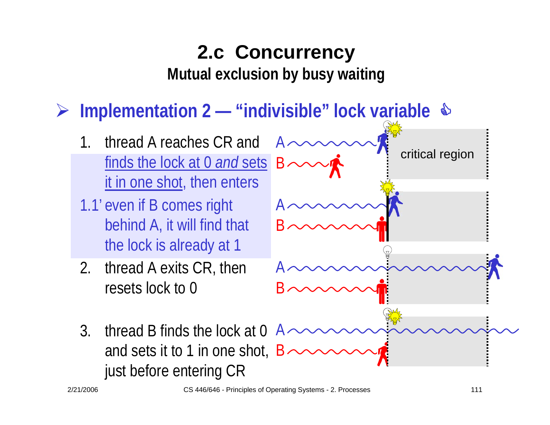**Mutual exclusion by busy waiting**

¾**Implementation 2 — "indivisible" lock variable**  &

- 1. thread A reaches CR and finds the lock at 0 *and* sets it in one shot, then enters
- 1.1' even if B comes right behind A, it will find that the lock is already at 1
- 2. thread A exits CR, then resets lock to 0

just before entering CR



2/21/2006 CS 446/646 - Principles of Operating Systems - 2. Processes 111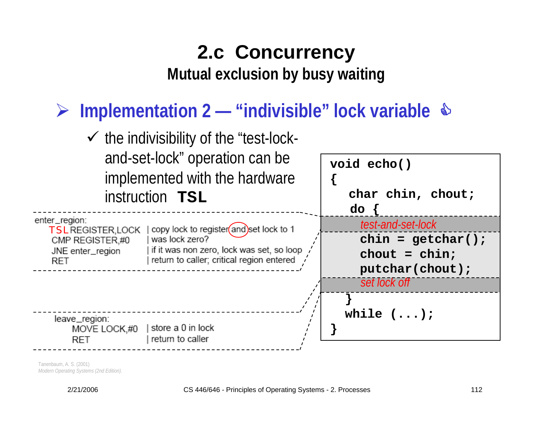#### ¾ **Implementation 2 — "indivisible" lock variable** &



Tanenbaum, A. S. (2001) *Modern Operating Systems (2nd Edition).*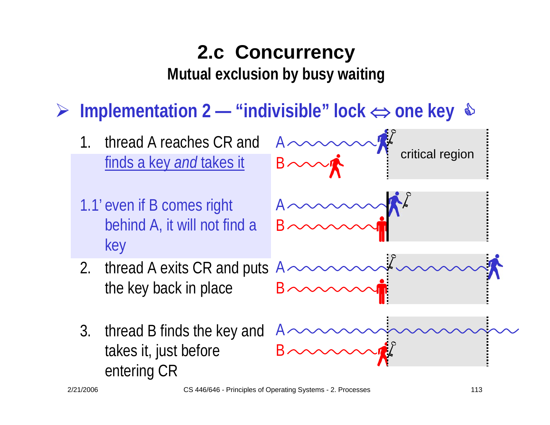#### ¾**Implementation 2 — "indivisible" lock**  ⇔ **one key**  &

- 1. thread A reaches CR and finds a key *and* takes it
- 1.1' even if B comes right behind A, it will not find a key
- 2.. thread A exits CR and puts  $A \cdot$ the key back in place
- 3. thread B finds the key and takes it, just before entering CR

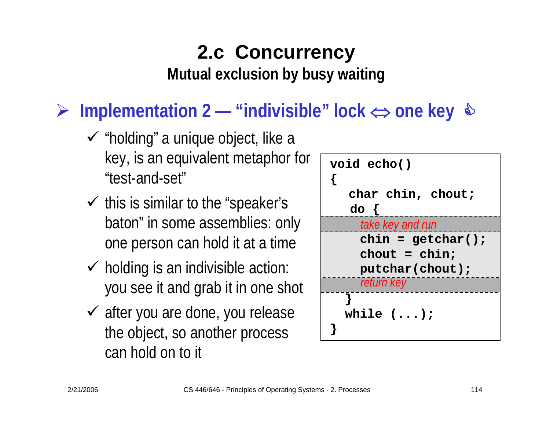**Mutual exclusion by busy waiting**

## ¾ **Implementation 2 — "indivisible" lock**  ⇔ **one key**  &

- $\checkmark$  "holding" a unique object, like a key, is an equivalent metaphor for "test-and-set"
- $\checkmark$  this is similar to the "speaker's baton" in some assemblies: only one person can hold it at a time
- $\checkmark$  holding is an indivisible action: you see it and grab it in one shot
- $\checkmark$  after you are done, you release the object, so another process can hold on to it

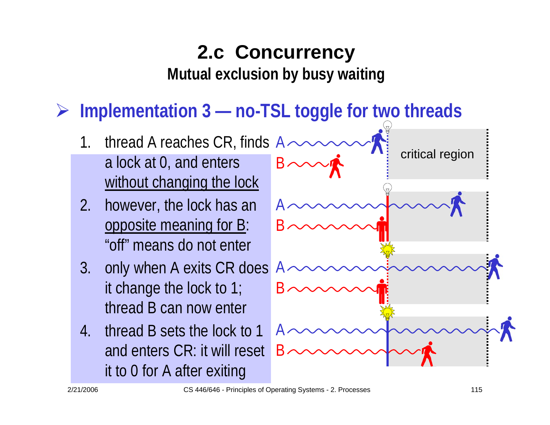¾ **Implementation 3 — no-TSL toggle for two threads**

- 1.. thread A reaches CR, finds  $A \cdot$ a lock at 0, and enters without changing the lock  $\mathsf B$  .
- 2. however, the lock has an opposite meaning for B: "off" means do not enter
- 3. only when A exits CR does it change the lock to 1; thread B can now enter
- 4. thread B sets the lock to 1 and enters CR: it will reset it to 0 for A after exiting

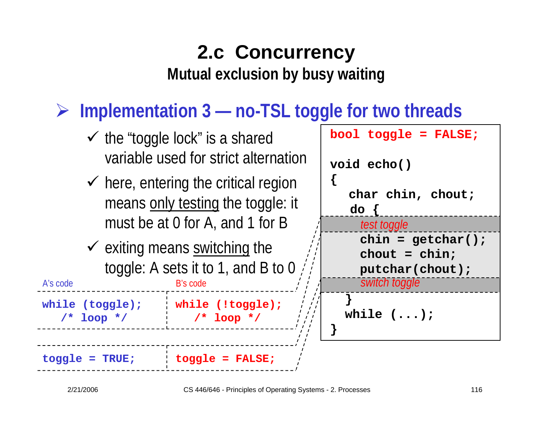#### ¾ **Implementation 3 — no-TSL toggle for two threads**

- $\checkmark$  the "toggle lock" is a shared variable used for strict alternation
- $\checkmark$  here, entering the critical region means only testing the toggle: it must be at 0 for A, and 1 for B
- $\checkmark$  exiting means switching the toggle: A sets it to 1, and B to 0

B's code

**while (!toggle); /\* loop \*/**



**toggle = TRUE; toggle = FALSE;**

A's code

**while (toggle);**

**/\* loop \*/**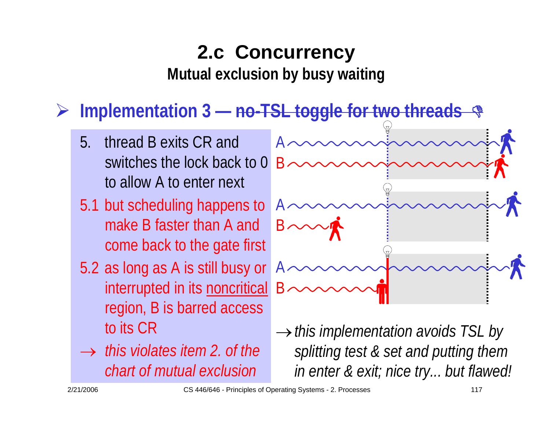**Mutual exclusion by busy waiting**

## ¾ **Implementation 3 — no-TSL toggle for two threads**  '

- 5. thread B exits CR and switches the lock back to 0 to allow A to enter next
- 5.1 but scheduling happens to make B faster than A and come back to the gate first
- 5.2 as long as A is still busy or interrupted in its noncritical region, B is barred access to its CR
- → *this violates item 2. of the chart of mutual exclusion*



<sup>→</sup>*this implementation avoids TSL by splitting test & set and putting them in enter & exit; nice try... but flawed!*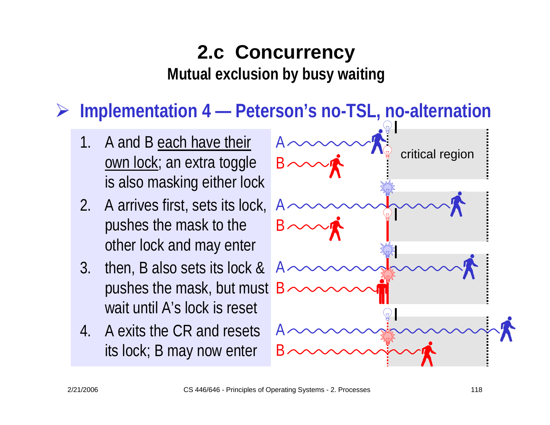#### ¾ **Implementation 4 — Peterson's no-TSL, no-alternation**

- 1. A and B each have their own lock; an extra toggle is also masking either lock
- 2. A arrives first, sets its lock, pushes the mask to the other lock and may enter
- 3. then, B also sets its lock & pushes the mask, but must wait until A's lock is reset
- 4. A exits the CR and resets its lock; B may now enter

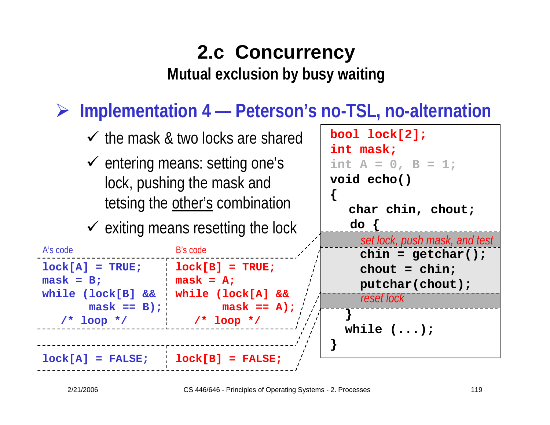#### ¾ **Implementation 4 — Peterson's no-TSL, no-alternation**

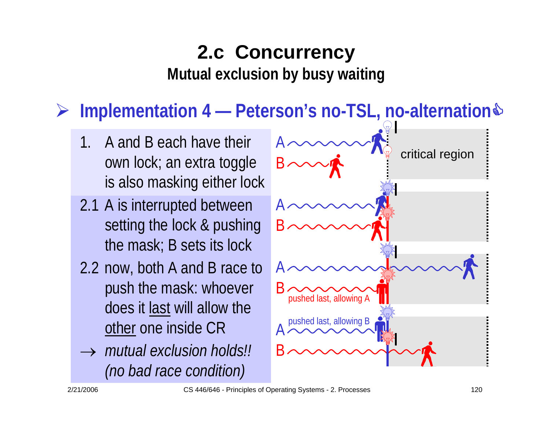#### ¾ **Implementation 4 — Peterson's no-TSL, no-alternation**&

- 1. A and B each have their own lock; an extra toggle is also masking either lock
- 2.1 A is interrupted between setting the lock & pushing the mask; B sets its lock
- 2.2 now, both A and B race to push the mask: whoever does it last will allow the other one inside CR
- → *mutual exclusion holds!! (no bad race condition)*

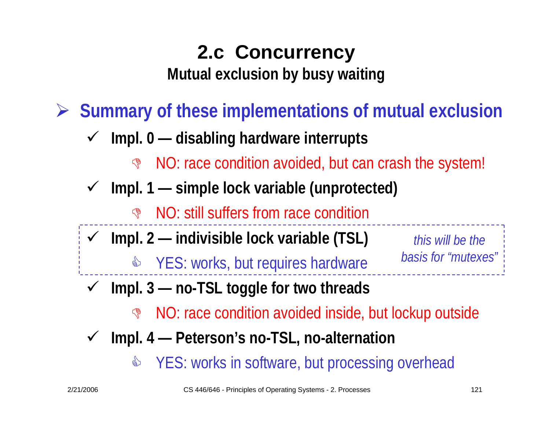**Mutual exclusion by busy waiting**

¾ **Summary of these implementations of mutual exclusion**

- $\checkmark$  **Impl. 0 — disabling hardware interrupts**
	- **G** NO: race condition avoided, but can crash the system!
- $\checkmark$  **Impl. 1 — simple lock variable (unprotected)**
	- **IS NO: still suffers from race condition**
- $\checkmark$  **Impl. 2 — indivisible lock variable (TSL)**
	- **& YES: works, but requires hardware**

*this will be thebasis for "mutexes"*

- $\checkmark$  **Impl. 3 — no-TSL toggle for two threads**
	- **G** NO: race condition avoided inside, but lockup outside
- $\checkmark$  **Impl. 4 — Peterson's no-TSL, no-alternation**
	- $\mathbb{S}$ YES: works in software, but processing overhead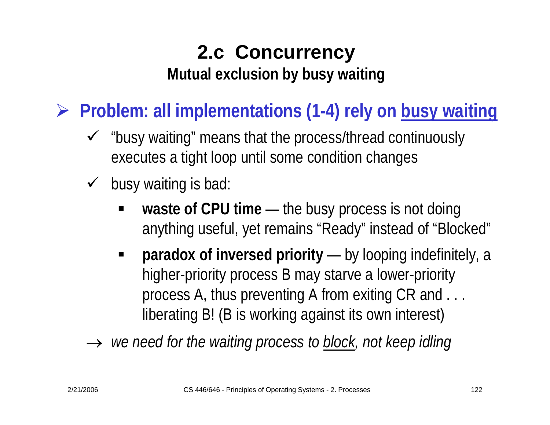¾ **Problem? Problem: all implementations (1-4) rely on busy waiting**

- $\checkmark$  "busy waiting" means that the process/thread continuously executes a tight loop until some condition changes
- $\checkmark$  busy waiting is bad:
	- waste of CPU time t — the busy process is not doing anything useful, yet remains "Ready" instead of "Blocked"
	- **paradox of inversed priority** by looping indefinitely, a higher-priority process B may starve a lower-priority process A, thus preventing A from exiting CR and . . . liberating B! (B is working against its own interest)

 $\;\rightarrow\;$  *we need for the waiting process to <u>block</u>, not keep idling .*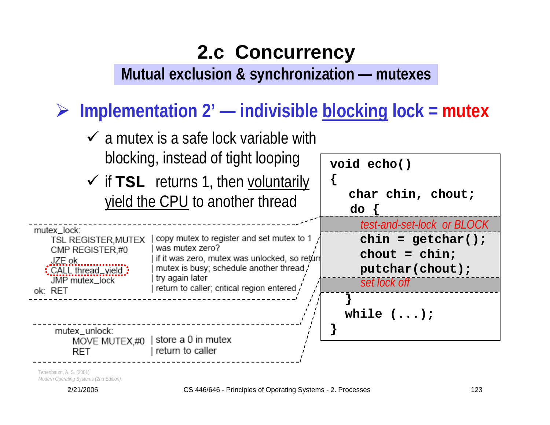**Mutual exclusion & synchronization — mutexes**

¾ **Implementation 2' — indivisible blocking lock = mutex**



Tanenbaum, A. S. (2001) *Modern Operating Systems (2nd Edition).* 

2/21/2006 CS 446/646 - Principles of Operating Systems - 2. Processes 123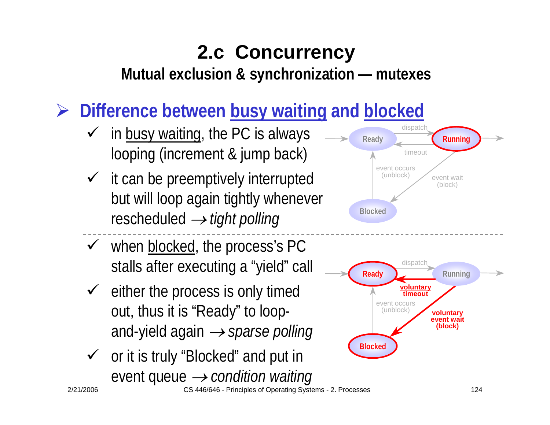**Mutual exclusion & synchronization — mutexes**

¾ **Difference between busy waiting and blocked**

- $\checkmark$  in busy waiting, the PC is always looping (increment & jump back)
- $\checkmark$  it can be preemptively interrupted but will loop again tightly whenever rescheduled → *tight polling*
- $\checkmark$  when blocked, the process's PC stalls after executing a "yield" call
- $\checkmark$  either the process is only timed out, thus it is "Ready" to loopand-yield again → *sparse polling*
- $\checkmark$  or it is truly "Blocked" and put in event queue → *condition waiting*



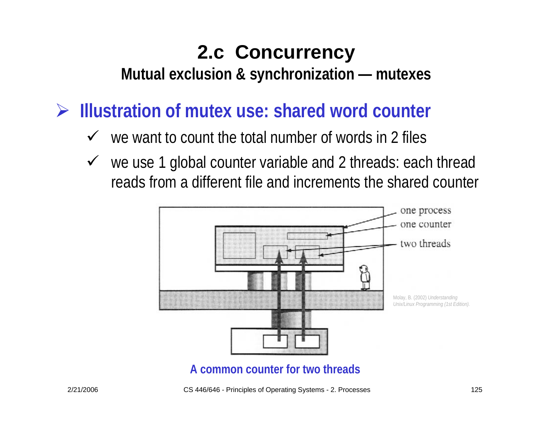**Mutual exclusion & synchronization — mutexes**

¾ **Illustration of mutex use: shared word counter**

- $\checkmark$  we want to count the total number of words in 2 files
- $\checkmark$  we use 1 global counter variable and 2 threads: each thread reads from a different file and increments the shared counter



**A common counter for two threads**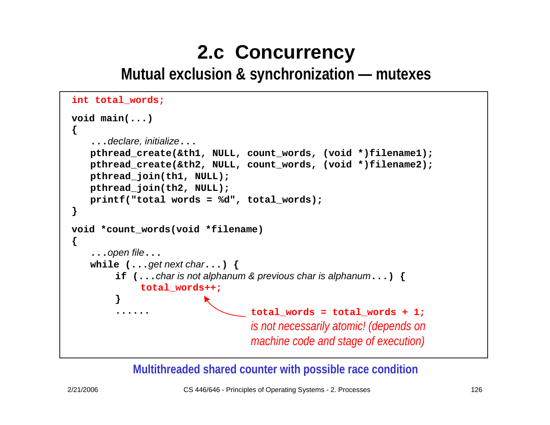**Mutual exclusion & synchronization — mutexes**

```
int total_words;
void main(...)
{
   ...declare, initialize...
   pthread_create(&th1, NULL, count_words, (void *)filename1);
   pthread_create(&th2, NULL, count_words, (void *)filename2);
   pthread_join(th1, NULL);
   pthread_join(th2, NULL);
   printf("total words = %d", total_words);
}
void *count_words(void *filename)
{
   ...open file...
   while (...get next char...) {
        if (...char is not alphanum & previous char is alphanum...) {
             total_words++;
        }
         ...... total_words = total_words + 1;
                                  is not necessarily atomic! (depends on 
                                  machine code and stage of execution)
```
**Multithreaded shared counter with possible race condition**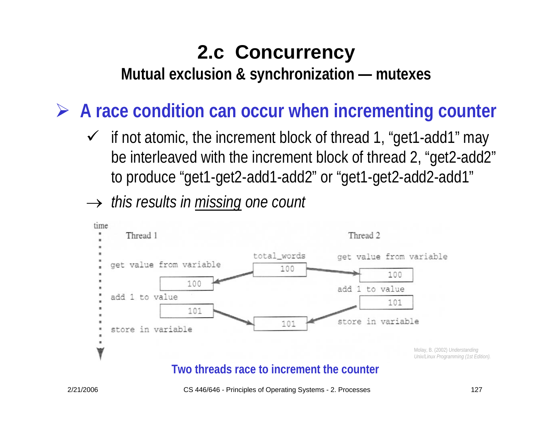**Mutual exclusion & synchronization — mutexes**

¾ **A race condition can occur when incrementing counter**

- $\checkmark$  if not atomic, the increment block of thread 1, "get1-add1" may be interleaved with the increment block of thread 2, "get2-add2" to produce "get1-get2-add1-add2" or "get1-get2-add2-add1"
- → *this results in missing one count*



### **Two threads race to increment the counter**

2/21/2006 CS 446/646 - Principles of Operating Systems - 2. Processes 127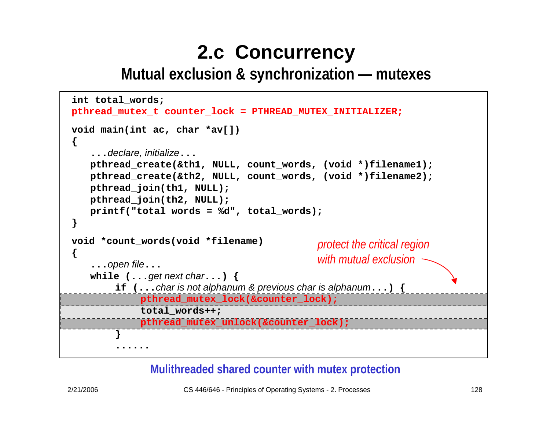**Mutual exclusion & synchronization — mutexes**

```
protect the critical region 
                                              with mutual exclusionint total_words;
pthread_mutex_t counter_lock = PTHREAD_MUTEX_INITIALIZER;
void main(int ac, char *av[])
{
   ...declare, initialize...
   pthread_create(&th1, NULL, count_words, (void *)filename1);
   pthread_create(&th2, NULL, count_words, (void *)filename2);
   pthread_join(th1, NULL);
   pthread_join(th2, NULL);
   printf("total words = %d", total_words);
}
void *count_words(void *filename)
{
   ...open file...
   while (...get next char...) {
        if (...char is not alphanum & previous char is alphanum...) {
            pthread_mutex_lock(&counter_lock);
            total_words++;
            pthread_mutex_unlock(&counter_lock);
        }
        ......
```
### **Mulithreaded shared counter with mutex protection**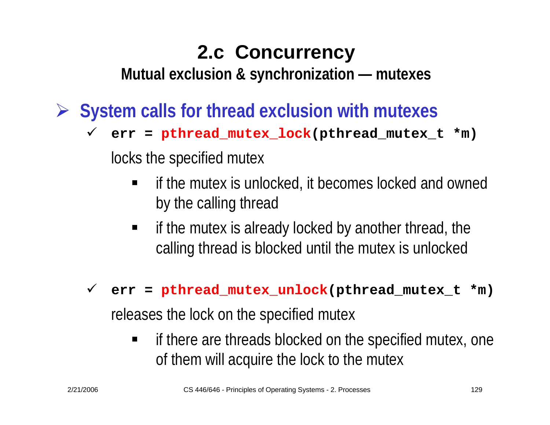**Mutual exclusion & synchronization — mutexes**

¾ **System calls for thread exclusion with mutexes**

9 **err = pthread\_mutex\_lock(pthread\_mutex\_t \*m)**

locks the specified mutex

- E if the mutex is unlocked, it becomes locked and owned by the calling thread
- $\blacksquare$  if the mutex is already locked by another thread, the calling thread is blocked until the mutex is unlocked

### 9 **err = pthread\_mutex\_unlock(pthread\_mutex\_t \*m)**

releases the lock on the specified mutex

 $\blacksquare$  if there are threads blocked on the specified mutex, one of them will acquire the lock to the mutex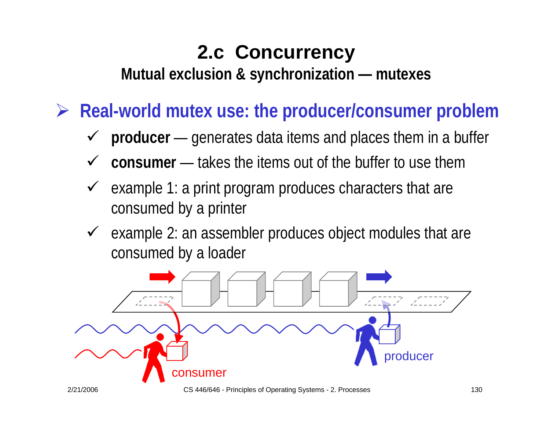**Mutual exclusion & synchronization — mutexes**

¾ **Real-world mutex use: the producer/consumer problem**

- 9 **producer** —————— — generates data items and places them in a buffer
- $\checkmark$  $\checkmark$  consumer — takes the items out of the buffer to use them
- $\checkmark$  example 1: a print program produces characters that are consumed by a printer
- $\sqrt{ }$  example 2: an assembler produces object modules that are consumed by a loader

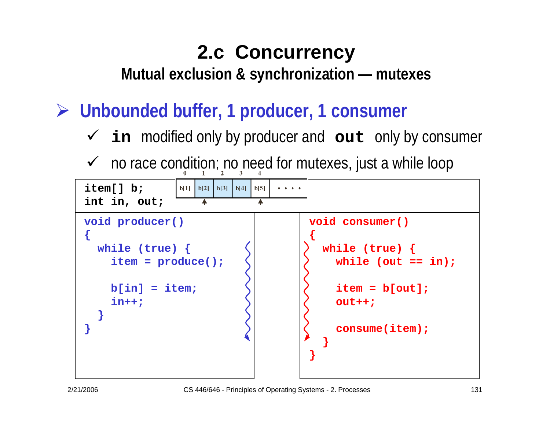**Mutual exclusion & synchronization — mutexes**

¾ **Unbounded buffer, 1 producer, 1 consumer**

- 9 **in** modified only by producer and **out** only by consumer
- $\checkmark$  no race condition; no need for mutexes, just a while loop

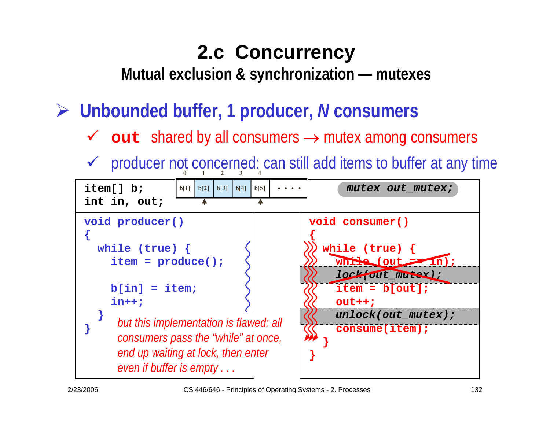**Mutual exclusion & synchronization — mutexes**

¾ **Unbounded buffer, 1 producer,**  *N* **consumers**

- 9 **out** shared by all consumers → mutex among consumers
- $\checkmark$  producer not concerned: can still add items to buffer at any time

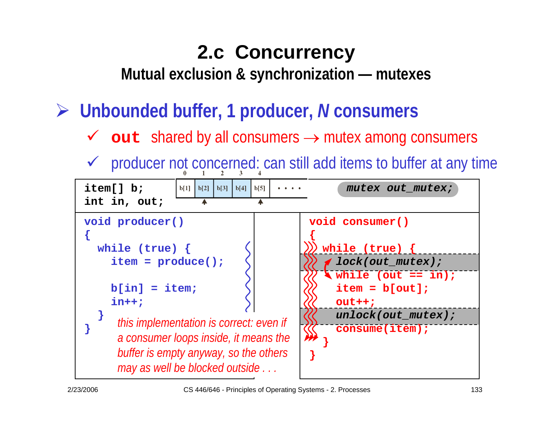**Mutual exclusion & synchronization — mutexes**

¾ **Unbounded buffer, 1 producer,**  *N* **consumers**

- 9 **out** shared by all consumers → mutex among consumers
- $\checkmark$  producer not concerned: can still add items to buffer at any time

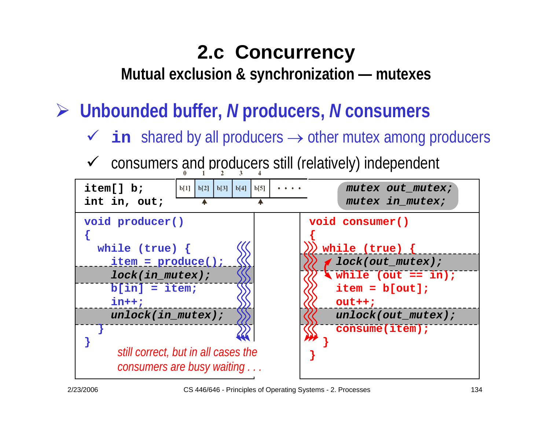**Mutual exclusion & synchronization — mutexes**

¾ **Unbounded buffer,**  *N* **producers,**  *N* **consumers**

- 9 **in** shared by all producers → other mutex among producers
- $\checkmark$ consumers and producers still (relatively) independent

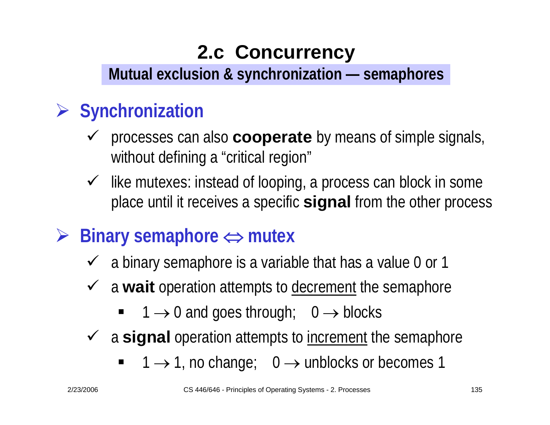### **Mutual exclusion & synchronization — semaphores**

### ¾ **Synchronization**

- $\checkmark$  processes can also **cooperate** by means of simple signals, without defining a "critical region"
- $\checkmark$  like mutexes: instead of looping, a process can block in some place until it receives a specific **signal** from the other process

### ¾**Binary semaphore**  ⇔ **mutex**

- $\checkmark$  a binary semaphore is a variable that has a value 0 or 1
- **►** a wait operation attempts to decrement the semaphore
	- $\blacksquare$  1  $\rightarrow$  0 and goes through; 0  $\rightarrow$  blocks
- **►** a signal operation attempts to increment the semaphore
	- $\blacksquare$  $\blacksquare$  1  $\rightarrow$  1, no change; 0  $\rightarrow$  unblocks or becomes 1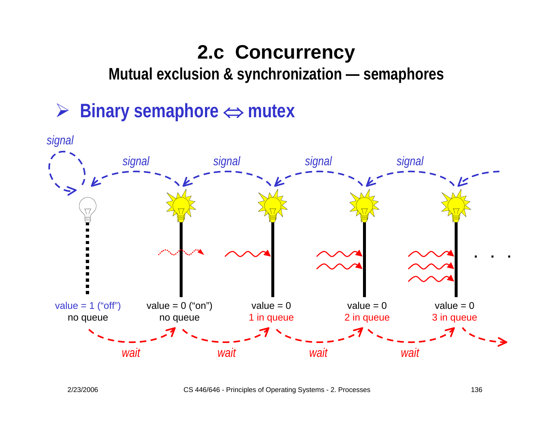**Mutual exclusion & synchronization — semaphores**

### ¾ **Binary semaphore** <sup>⇔</sup> **mutex**

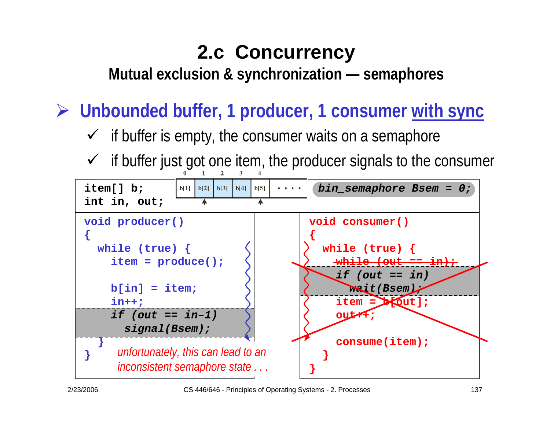**Mutual exclusion & synchronization — semaphores**

¾ **Unbounded buffer, 1 producer, 1 consumer with sync**

- $\checkmark$  if buffer is empty, the consumer waits on a semaphore
- $\checkmark$  if buffer just got one item, the producer signals to the consumer

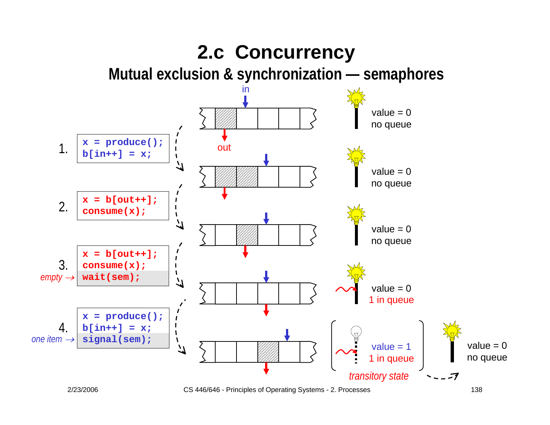

<sup>2/23/2006</sup> CS 446/646 - Principles of Operating Systems - 2. Processes 138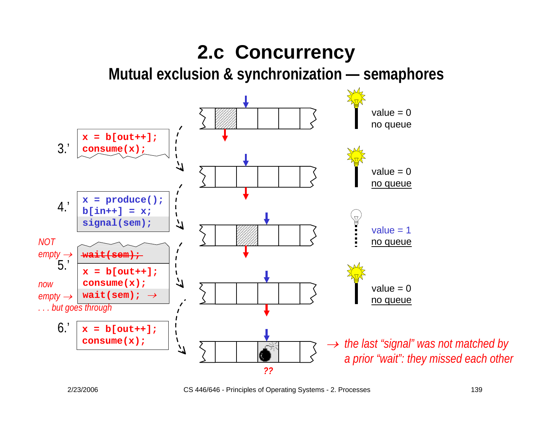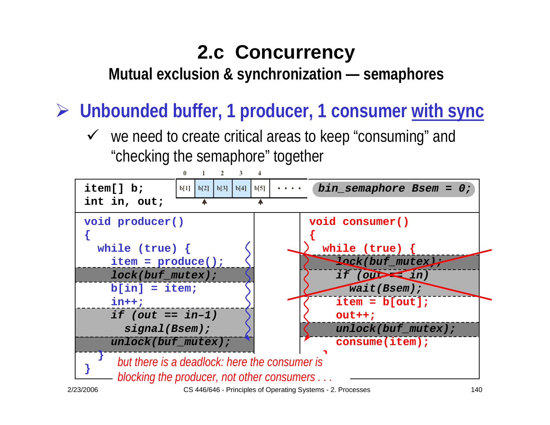**Mutual exclusion & synchronization — semaphores**

¾ **Unbounded buffer, 1 producer, 1 consumer with sync**

 $\checkmark$  we need to create critical areas to keep "consuming" and "checking the semaphore" together

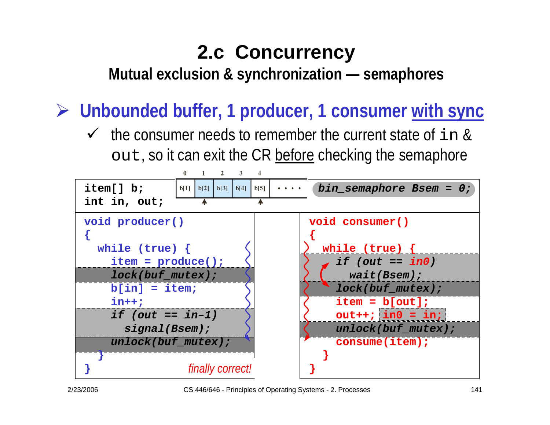**Mutual exclusion & synchronization — semaphores**

¾ **Unbounded buffer, 1 producer, 1 consumer with sync**

 $\checkmark$  the consumer needs to remember the current state of in & out, so it can exit the CR before checking the semaphore

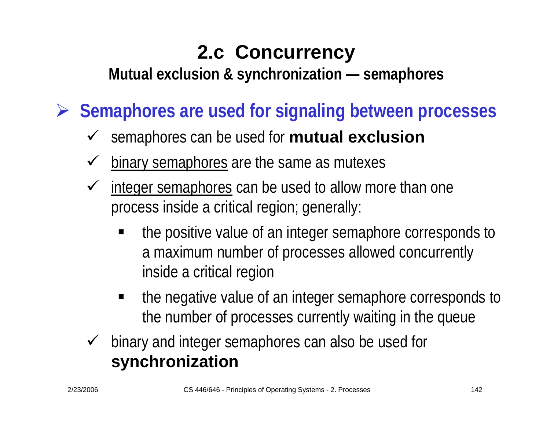**Mutual exclusion & synchronization — semaphores**

¾ **Semaphores are used for signaling between processes**

- 9 semaphores can be used for **mutual exclusion**
- $\checkmark$ binary semaphores are the same as mutexes
- $\checkmark$  integer semaphores can be used to allow more than one process inside a critical region; generally:
	- the positive value of an integer semaphore corresponds to a maximum number of processes allowed concurrently inside a critical region
	- ٠ the negative value of an integer semaphore corresponds to the number of processes currently waiting in the queue
- $\checkmark$  binary and integer semaphores can also be used for **synchronization**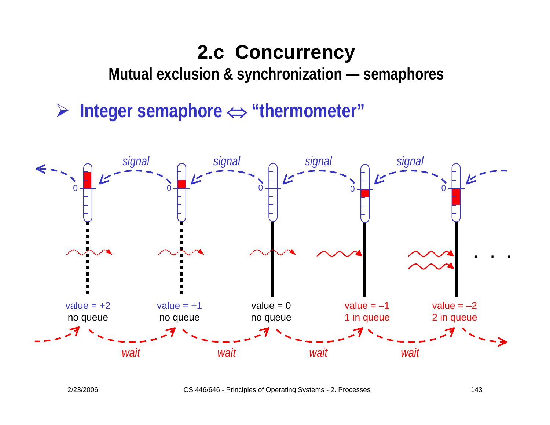**Mutual exclusion & synchronization — semaphores**

¾ **Integer semaphore** <sup>⇔</sup> **"thermometer"**

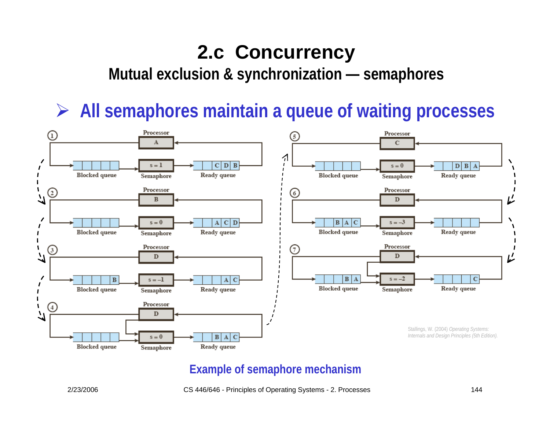**Mutual exclusion & synchronization — semaphores**

¾ **All semaphores maintain a queue of waiting processes**



### **Example of semaphore mechanism**

#### 2/23/2006 CS 446/646 - Principles of Operating Systems - 2. Processes 144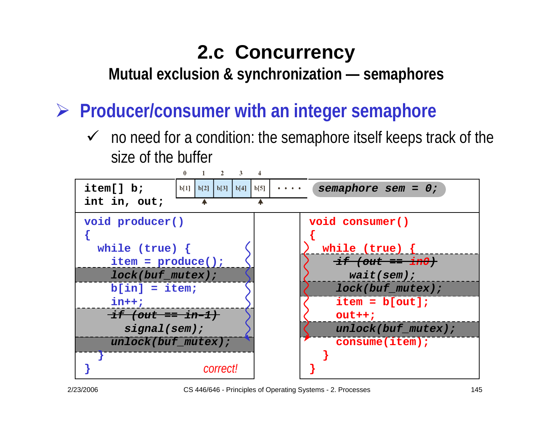**Mutual exclusion & synchronization — semaphores**

¾ **Producer/consumer with an integer semaphore**

 $\checkmark$  no need for a condition: the semaphore itself keeps track of the size of the buffer

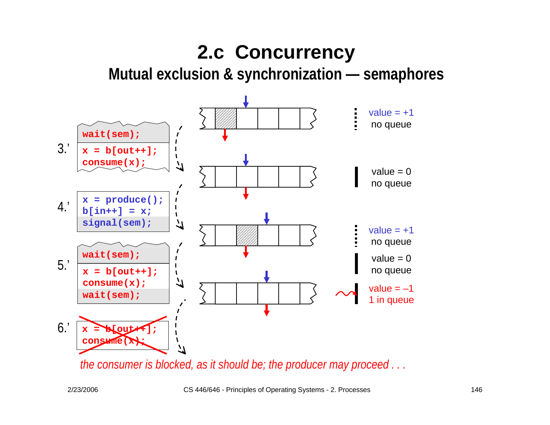**Mutual exclusion & synchronization — semaphores**



*the consumer is blocked, as it should be; the producer may proceed . . .*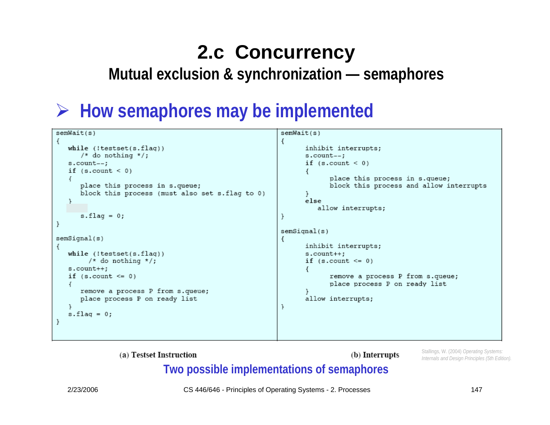**Mutual exclusion & synchronization — semaphores**

### ¾ **How semaphores may be implemented**

| semWait(s)                                     | semWait(s)                              |
|------------------------------------------------|-----------------------------------------|
|                                                |                                         |
| while (!testset(s.flag))                       | inhibit interrupts;                     |
| /* do nothing */;                              | s.count--;                              |
| s.count--;                                     | if $(s.count < 0)$                      |
| if $(s.count < 0)$                             |                                         |
|                                                | place this process in s.queue;          |
| place this process in s.queue;                 | block this process and allow interrupts |
| block this process (must also set s.flag to 0) |                                         |
|                                                | else                                    |
|                                                |                                         |
|                                                | allow interrupts;                       |
| $s$ .flaq = 0;                                 |                                         |
|                                                |                                         |
|                                                | semSignal(s)                            |
| semSignal(s)                                   |                                         |
|                                                | inhibit interrupts;                     |
| while (!testset(s.flag))                       | $s.count++;$                            |
| /* do nothing */;                              | if $(s.count \le 0)$                    |
| $s.count++;$                                   |                                         |
| if $(s.count \le 0)$                           | remove a process P from s.queue;        |
|                                                | place process P on ready list           |
| remove a process P from s.queue;               |                                         |
| place process P on ready list                  | allow interrupts;                       |
|                                                |                                         |
| $s$ .flaq = 0;                                 |                                         |
|                                                |                                         |
|                                                |                                         |
|                                                |                                         |

(a) Testset Instruction

(b) Interrupts

Stallings, W. (2004) *Operating Systems: Internals and Design Principles (5th Edition).* 

### **Two possible implementations of semaphores**

2/23/2006 CS 446/646 - Principles of Operating Systems - 2. Processes 147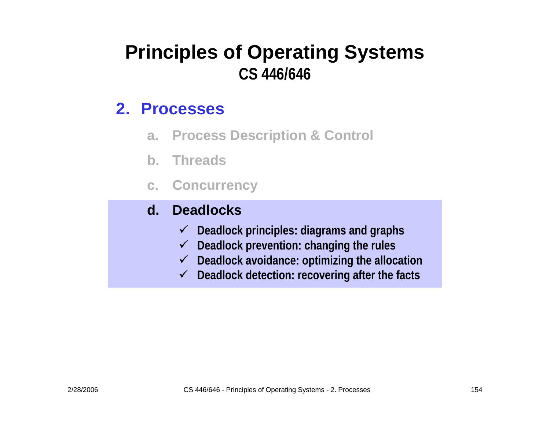### **Principles of Operating Systems CS 446/646**

### **2. Processes**

- **a. Process Description & Control**
- **b. Threads**
- **c. Concurrency**

#### **d.Deadlocks**

- 9 **Deadlock principles: diagrams and graphs**
- 9 **Deadlock prevention: changing the rules**
- 9 **Deadloc k avoida nce: optimizing the allocation**
- 9 **Deadlock detection: recovering after the facts**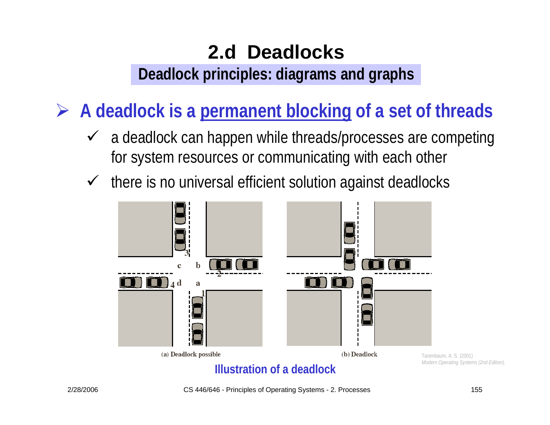**Deadlock principles: diagrams and graphs**

¾ **A deadlock is a permanent blocking of a set of threads**

- $\checkmark$  a deadlock can happen while threads/processes are competing for system resources or communicating with each other
- $\checkmark$ there is no universal efficient solution against deadlocks

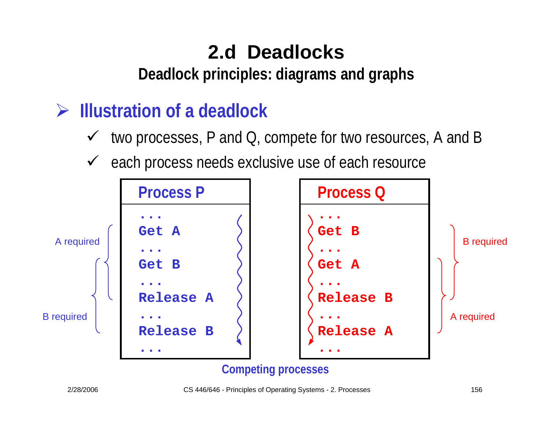**Deadlock principles: diagrams and graphs**

### ¾ **Illustration of a deadlock**

- $\checkmark$ two processes, P and Q, compete for two resources, A and B
- $\checkmark$ each process needs exclusive use of each resource

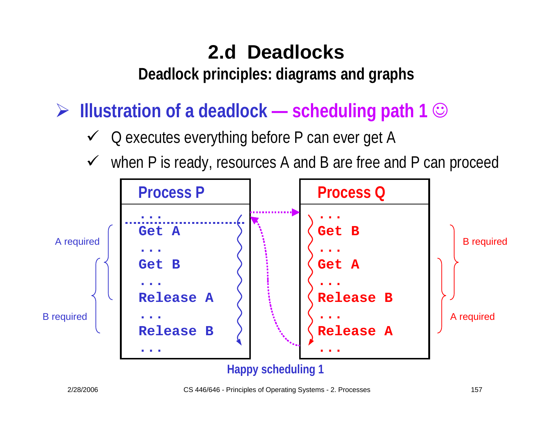**Deadlock principles: diagrams and graphs**

¾ **Illustration of a deadlock — scheduling path 1** ☺

- $\checkmark$ Q executes everything before P can ever get A
- $\checkmark$ when P is ready, resources A and B are free and P can proceed

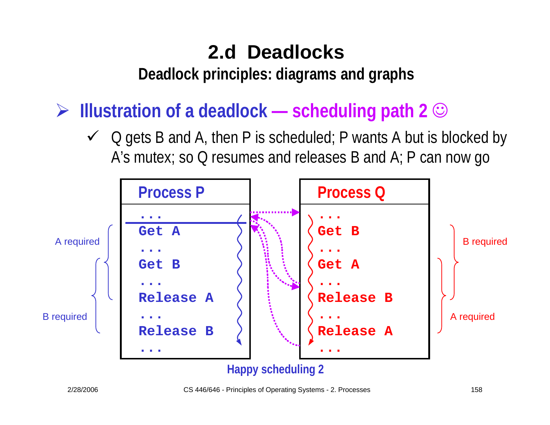**Deadlock principles: diagrams and graphs**

¾ **Illustration of a deadlock — scheduling path 2** ☺

 $\checkmark$  Q gets B and A, then P is scheduled; P wants A but is blocked by A's mutex; so Q resumes and releases B and A; P can now go

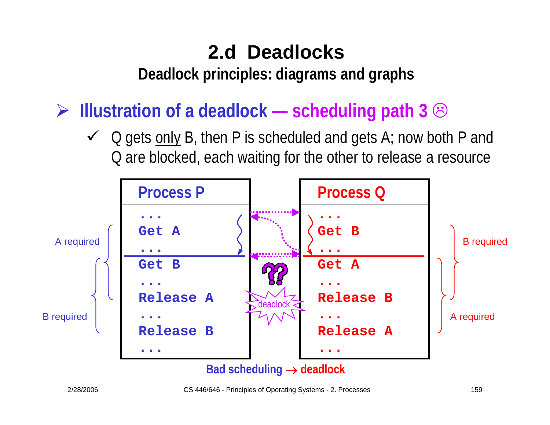**Deadlock principles: diagrams and graphs**

¾ **Illustration of a deadlock — scheduling path 3** /

 $\checkmark$  Q gets only B, then P is scheduled and gets A; now both P and Q are blocked, each waiting for the other to release a resource

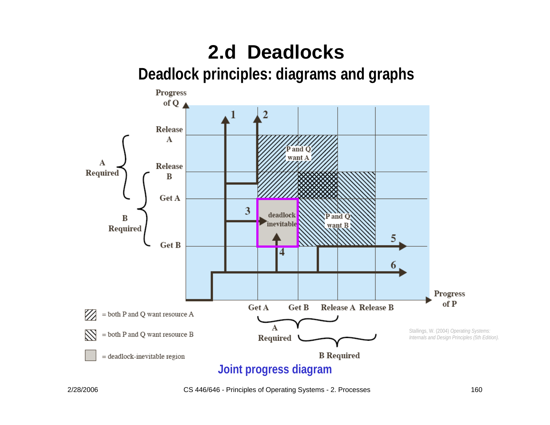**Deadlock principles: diagrams and graphs**

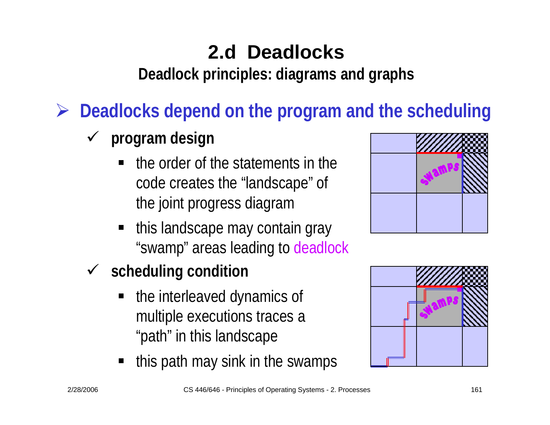**Deadlock principles: diagrams and graphs**

¾ **Deadlocks depend on the program and the scheduling**

- $\checkmark$  **program design**
	- the order of the statements in the code creates the "landscape" of the joint progress diagram
	- this landscape may contain gray "swamp" areas leading to deadlock
- 9 **scheduling condition**
	- the interleaved dynamics of multiple executions traces a "path" in this landscape
	- this path may sink in the swamps



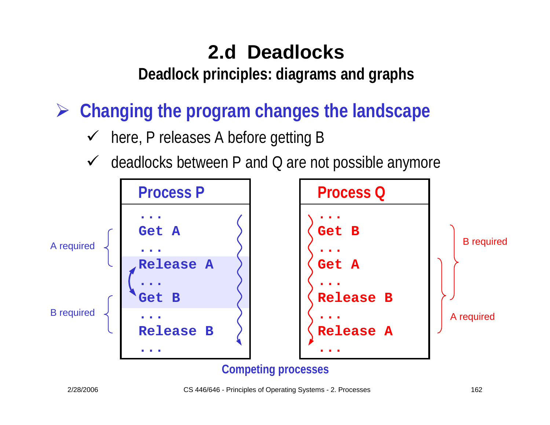**Deadlock principles: diagrams and graphs**

¾ **Changing the program changes the landscape** 

- $\checkmark$ here, P releases A before getting B
- $\checkmark$ deadlocks between P and Q are not possible anymore

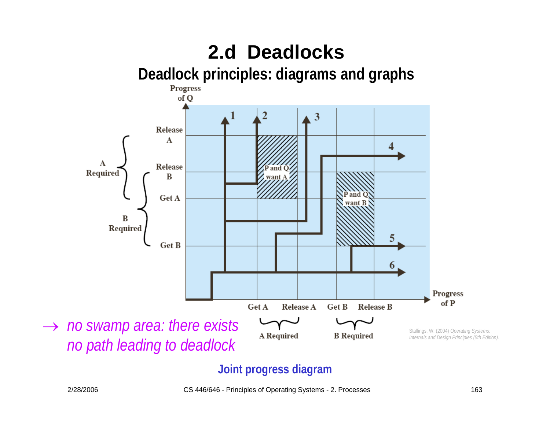**Deadlock principles: diagrams and graphs**



### **Joint progress diagra m**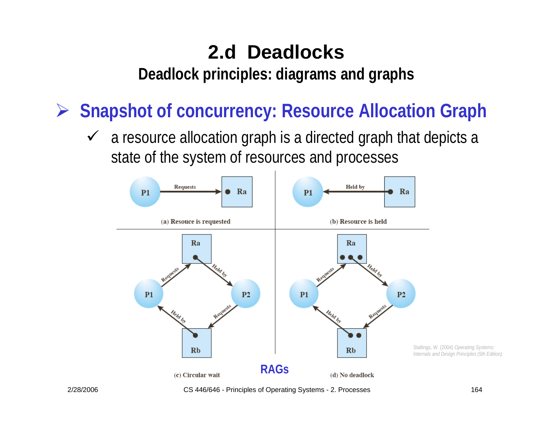**Deadlock principles: diagrams and graphs**

¾ **Snapshot of concurrency: Resource Allocation Graph**

 $\sqrt{ }$  a resource allocation graph is a directed graph that depicts a state of the system of resources and processes



2/28/2006 CS 446/646 - Principles of Operating Systems - 2. Processes 164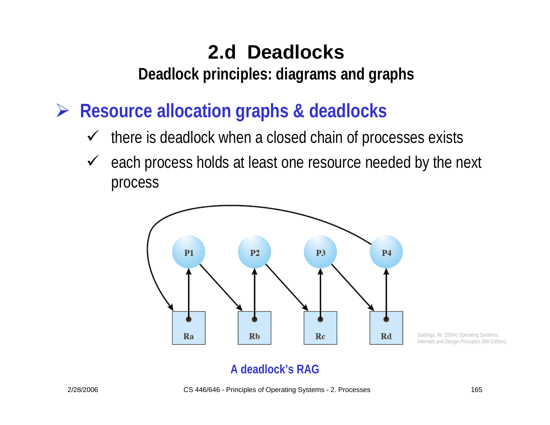**Deadlock principles: diagrams and graphs**

¾ **Resource allocation graphs & deadlocks**

- $\checkmark$ there is deadlock when a closed chain of processes exists
- $\sqrt{ }$  each process holds at least one resource needed by the next process



Stallings, W. (2004) *Operating Systems: Internals and Design Principles (5th Edition).* 

### **A deadlock's RAG**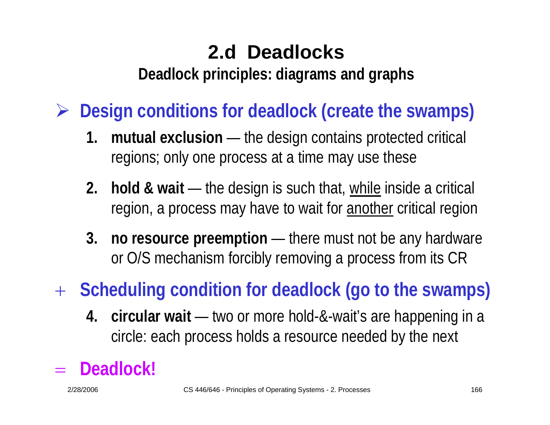**Deadlock principles: diagrams and graphs**

¾ **Design conditions for deadlock (create the swamps)**

- **1. mutual exclusion** — the design contains protected critical regions; only one process at a time may use these
- **2. hold & wait** the design is such that, while inside a critical region, a process may have to wait for another critical region
- **3. no resource preemption** — there must not be any hardware or O/S mechanism forcibly removing a process from its CR

+ **Scheduling condition for deadlock (go to the swamps)**

**4. circular wait** — two or more hold-&-wait's are happening in a circle: each process holds a resource needed by the next

#### = **Deadlock!**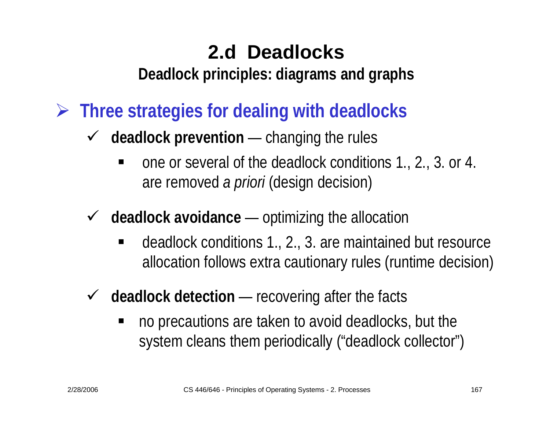**Deadlock principles: diagrams and graphs**

- ¾ **Three strategies for dealing with deadlocks**
	- $\sqrt{ }$  **deadlock prevention** — changing the rules
		- ٠ one or several of the deadlock conditions 1., 2., 3. or 4. are removed *a priori* (design decision)
	- $\sqrt{ }$  **deadlock avoidance** —— optimizing the allocation
		- deadlock conditions 1., 2., 3. are maintained but resource allocation follows extra cautionary rules (runtime decision)
	- $\checkmark$  **deadlock detection** — recovering after the facts
		- no precautions are taken to avoid deadlocks, but the system cleans them periodically ("deadlock collector")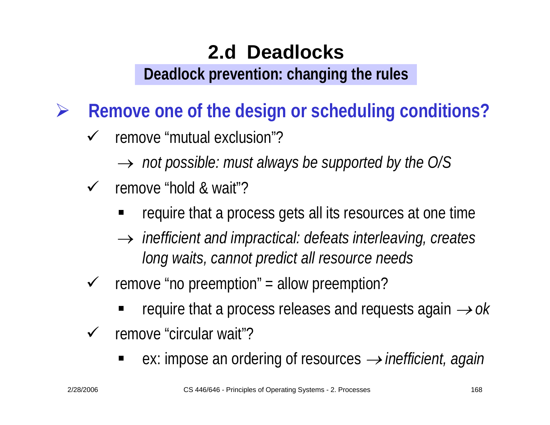**Deadlock prevention: changing the rules**

¾**Remove one of the design or scheduling conditions?**

- $\checkmark$  remove "mutual exclusion"?
	- → *not possible: must always be supported by the O/S*
- $\checkmark$  remove "hold & wait"?
	- require that a process gets all its resources at one time
	- → *inefficient and impractical: defeats interleaving, creates long waits, cannot predict all resource needs*
- $\checkmark$  remove "no preemption" = allow preemption?
	- ٠ ■ require that a process releases and requests again  $\rightarrow$  ok
- $\checkmark$  remove "circular wait"?
	- ٠ ■ ex: impose an ordering of resources *→ inefficient, again*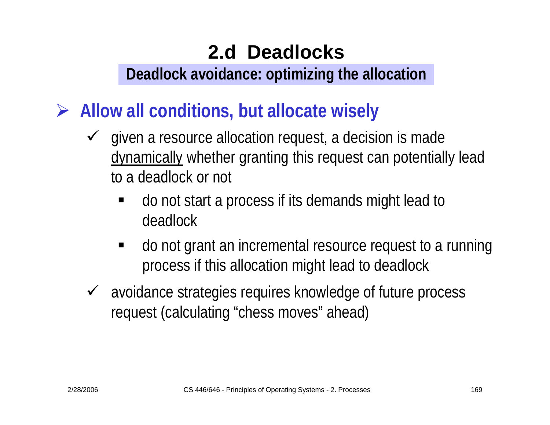#### **Deadlock avoidance: optimizing the allocation**

- ¾ **Allow all conditions, but allocate wisely**
	- $\sqrt{ }$  given a resource allocation request, a decision is made dynamically whether granting this request can potentially lead to a deadlock or not
		- do not start a process if its demands might lead to deadlock
		- $\blacksquare$  do not grant an incremental resource request to a running process if this allocation might lead to deadlock
	- $\checkmark$  avoidance strategies requires knowledge of future process request (calculating "chess moves" ahead)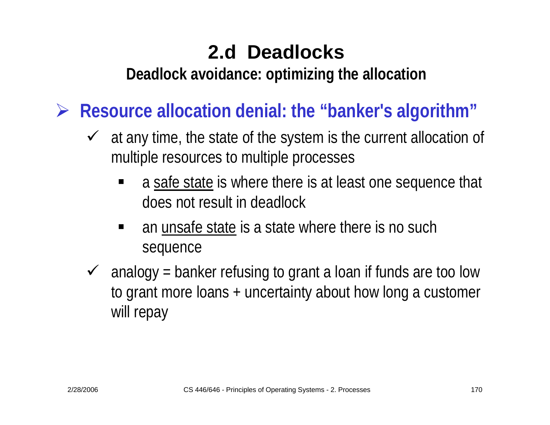**Deadlock avoidance: optimizing the allocation**

 $\blacktriangleright$ **Resource allocation denial: the "banker's algorithm"**

- $\checkmark$  at any time, the state of the system is the current allocation of multiple resources to multiple processes
	- ٠ a safe state is where there is at least one sequence that does not result in deadlock
	- $\blacksquare$  an unsafe state is a state where there is no such sequence
- $\sqrt{ }$  analogy = banker refusing to grant a loan if funds are too low to grant more loans + uncertainty about how long a customer will repay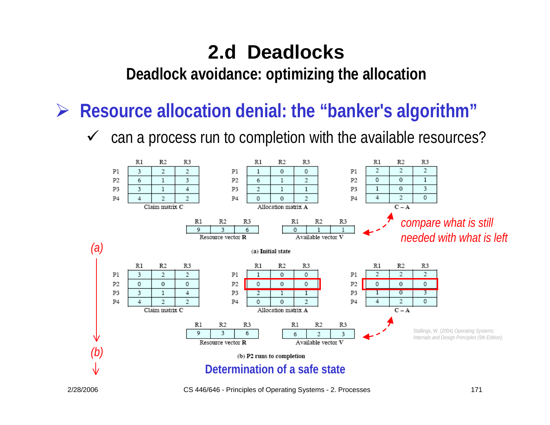**Deadlock avoidance: optimizing the allocation**

¾**Resource allocation denial: the "banker's algorithm"**

 $\checkmark$ can a process run to completion with the available resources?

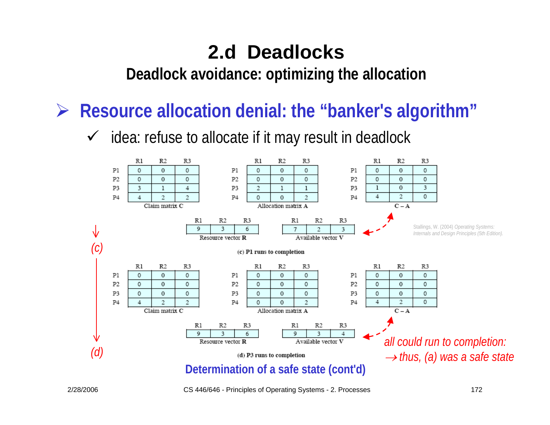**Deadlock avoidance: optimizing the allocation**

¾**Resource allocation denial: the "banker's algorithm"**

 $\sqrt{ }$ idea: refuse to allocate if it may result in deadlock



2/28/2006 CS 446/646 - Principles of Operating Systems - 2. Processes 172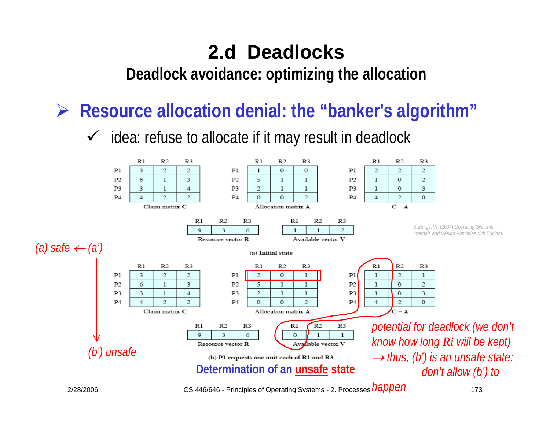**Deadlock avoidance: optimizing the allocation**

¾**Resource allocation denial: the "banker's algorithm"**

 $\checkmark$ idea: refuse to allocate if it may result in deadlock

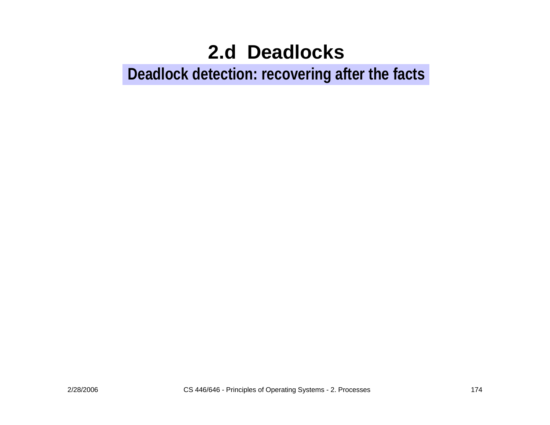#### **Deadlock detection: recovering after the facts**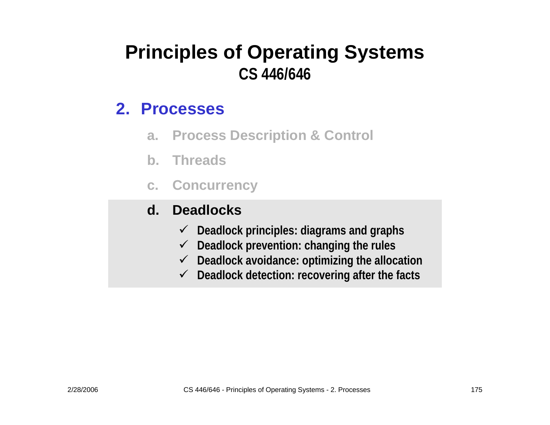#### **Principles of Operating Systems CS 446/646**

#### **2. Processes**

- **a. Process Description & Control**
- **b. Threads**
- **c. Concurrency**

#### **d.Deadlocks**

- 9 **Deadlock principles: diagrams and graphs**
- 9 **Deadlock prevention: changing the rules**
- 9 **Deadloc k avoida nce: optimizing the allocation**
- 9 **Deadlock detection: recovering after the facts**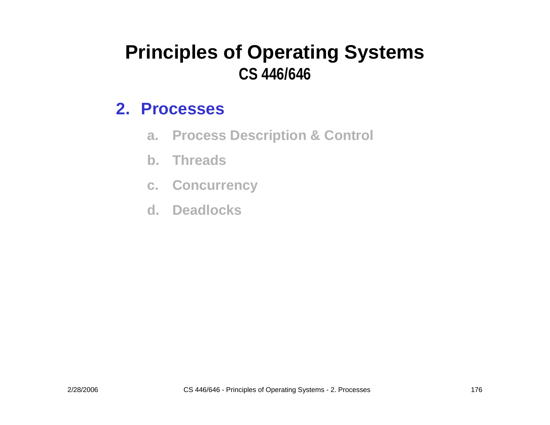#### **Principles of Operating Systems CS 446/646**

#### **2. Processes**

- **a. Process Description & Control**
- **b. Threads**
- **c. Concurrency**
- **d. Deadlocks**